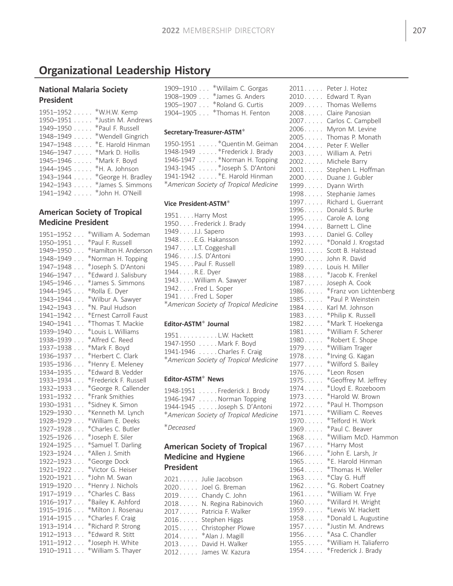# Organizational Leadership History

# National Malaria Society President

| $1951 - 1952$               | *W.H.W. Kemp                 |
|-----------------------------|------------------------------|
| $1950 - 1951$               | *Justin M. Andrews           |
| 1949-1950 * Paul F. Russell |                              |
|                             | 1948–1949 *Wendell Gingrich  |
| $1947 - 1948$               | *E. Harold Hinman            |
| 1946-1947 * Mark D. Hollis  |                              |
| 1945-1946 * Mark F. Boyd    |                              |
| 1944–1945 * H. A. Johnson   |                              |
|                             | 1943–1944 *George H. Bradley |
|                             | 1942-1943 * James S. Simmons |
| 1941–1942  *John H. O'Neill |                              |
|                             |                              |

# American Society of Tropical Medicine President

| $1951 - 1952$                      | *William A. Sodeman   |
|------------------------------------|-----------------------|
| $1950 - 1951$                      | *Paul F. Russell      |
| 1949-1950                          | *Hamilton H. Anderson |
| 1948-1949                          | *Norman H. Topping    |
| 1947-1948<br>.                     | *Joseph S. D'Antoni   |
| 1946-1947<br>$\cdots$              | *Edward J. Salisbury  |
|                                    | *James S. Simmons     |
| 1945–1946<br>1944–1945             | *Rolla E. Dyer        |
| $1943 - 1944$                      | *Wilbur A. Sawyer     |
| $1942 - 1943$                      | *N. Paul Hudson       |
| 1941-1942                          | *Ernest Carroll Faust |
| 1940-1941                          | *Thomas T. Mackie     |
| 1939-1940                          | *Louis L. Williams    |
| 1938-1939                          | *Alfred C. Reed       |
| 1937-1938                          | *Mark F. Boyd         |
| 1936–1937<br>1936–1937<br>$\ldots$ | *Herbert C. Clark     |
| 1935-1936<br>$\mathbb{R}^2$        | *Henry E. Meleney     |
| 1934-1935<br>$\cdots$              | *Edward B. Vedder     |
| 1933-1934                          | *Frederick F. Russell |
| 1932-1933                          | *George R. Callender  |
| 1931-1932<br>$\ldots$              | *Frank Smithies       |
| 1930-1931<br>$\cdots$              | *Sidney K. Simon      |
| 1929–1930<br>1928–1929             | *Kenneth M. Lynch     |
|                                    | *William E. Deeks     |
| $1927 - 1928$                      | *Charles C. Butler    |
| $1925 - 1926$                      | *Joseph E. Siler      |
| $1924 - 1925$                      | *Samuel T. Darling    |
| 1923-1924                          | *Allen J. Smith       |
| 1922-1923                          | *George Dock          |
| 1921-1922                          | *Victor G. Heiser     |
| 1920-1921                          | *John M. Swan         |
| $1919 - 1920$                      | *Henry J. Nichols     |
| 1917-1919<br>$\mathbb{R}^2$        | *Charles C. Bass      |
| 1916-1917<br>$\cdots$              | *Bailey K. Ashford    |
| $1915 - 1916$                      | *Milton J. Rosenau    |
| $1914 - 1915$                      | *Charles F. Craig     |
| 1913-1914                          | *Richard P. Strong    |
| $1912 - 1913$                      | *Edward R. Stitt      |
| $1911 - 1912$                      | *Joseph H. White      |
| $1910 - 1911$                      | *William S. Thayer    |

| 1909-1910 *Willaim C. Gorgas |
|------------------------------|
| 1908-1909 * James G. Anders  |
| 1905-1907 * Roland G. Curtis |
| 1904-1905 * Thomas H. Fenton |

#### Secretary-Treasurer-ASTM

| 1950-1951 * Quentin M. Geiman          |
|----------------------------------------|
| 1948-1949 * Frederick J. Brady         |
| 1946-1947 *Norman H. Topping           |
| 1943-1945 * Joseph S. D'Antoni         |
| 1941-1942 * E. Harold Hinman           |
| *American Society of Tropical Medicine |

#### Vice President-ASTM

| 1951Harry Most                         |
|----------------------------------------|
| 1950Frederick J. Brady                 |
| 1949J.J. Sapero                        |
| 1948. E.G. Hakansson                   |
| 1947L.T. Coggeshall                    |
| 1946J.S.D'Antoni                       |
| 1945Paul F. Russell                    |
| 1944R.E. Dyer                          |
| 1943William A. Sawyer                  |
| 1942Fred L. Soper                      |
| 1941Fred L. Soper                      |
| *American Society of Tropical Medicine |
|                                        |

# Editor-ASTM<sup>\*</sup> Journal

| 1951. L.W. Hackett                     |
|----------------------------------------|
| 1947-1950 Mark F. Boyd                 |
| 1941-1946 Charles F. Craig             |
| *American Society of Tropical Medicine |
|                                        |

# Editor-ASTM $*$  News

1948-1951 . . . . . Frederick J. Brody 1946-1947 . . . . . Norman Topping 1944-1945 . . . . . Joseph S. D'Antoni American Society of Tropical Medicine

Deceased

# American Society of Tropical Medicine and Hygiene President

|      | 2021 Julie Jacobson       |
|------|---------------------------|
|      | 2020 Joel G. Breman       |
|      | 2019 Chandy C. John       |
|      | 2018 N. Regina Rabinovich |
|      | 2017 Patricia F. Walker   |
| 2016 | Stephen Higgs             |
|      | 2015 Christopher Plowe    |
|      | 2014 *Alan J. Magill      |
|      | 2013 David H. Walker      |
|      | 2012 James W. Kazura      |
|      |                           |

| 2011. | Peter J. Hotez         |
|-------|------------------------|
| 2010  | Edward T. Ryan         |
| 2009  | Thomas Wellems         |
| 2008  | Claire Panosian        |
| 2007  | Carlos C. Campbell     |
| 2006  | Myron M. Levine        |
| 2005  | Thomas P. Monath       |
| 2004  | Peter F. Weller        |
| 2003  | William A. Petri       |
|       |                        |
| 2002  | Michele Barry          |
| 2001  | Stephen L. Hoffman     |
| 2000  | Duane J. Gubler        |
| 1999  | Dyann Wirth            |
| 1998  | Stephanie James        |
| 1997  | Richard L. Guerrant    |
| 1996  | Donald S. Burke        |
| 1995  | Carole A. Long         |
| 1994  | Barnett L. Cline       |
| 1993  | Daniel G. Colley       |
| 1992  | *Donald J. Krogstad    |
| 1991  | Scott B. Halstead      |
| 1990  | John R. David          |
| 1989  | Louis H. Miller        |
| 1988  | *Jacob K. Frenkel      |
| 1987  | Joseph A. Cook         |
| 1986  | *Franz von Lichtenberg |
| 1985  | *Paul P. Weinstein     |
|       |                        |
| 1984  | Karl M. Johnson        |
| 1983  | *Philip K. Russell     |
| 1982  | *Mark T. Hoekenga      |
| 1981  | *William F. Scherer    |
| 1980  | *Robert E. Shope       |
| 1979  | *William Trager        |
| 1978  | *Irving G. Kagan       |
| 1977  | *Wilford S. Bailey     |
| 1976  | *Leon Rosen            |
| 1975  | *Geoffrey M. Jeffrey   |
| 1974  | *Lloyd E. Rozeboom     |
| 1973  | *Harold W. Brown       |
| 1972  | *Paul H. Thompson      |
| 1971  | *William C. Reeves     |
| 1970  | *Telford H. Work       |
| 1969  | *Paul C. Beaver        |
| 1968  | *William McD. Hammon   |
| 1967  | *Harry Most            |
| 1966  | *John E. Larsh, Jr     |
| 1965  | *E. Harold Hinman      |
| 1964  | *Thomas H. Weller      |
| 1963  | *Clay G. Huff          |
| 1962  |                        |
|       | *G. Robert Coatney     |
| 1961  | *William W. Frye       |
| 1960  | *Willard H. Wright     |
| 1959  | *Lewis W. Hackett      |
| 1958  | *Donald L. Augustine   |
| 1957  | *Justin M. Andrews     |
| 1956  | *Asa C. Chandler       |
| 1955  | *William H. Taliaferro |
| 1954  | *Frederick J. Brady    |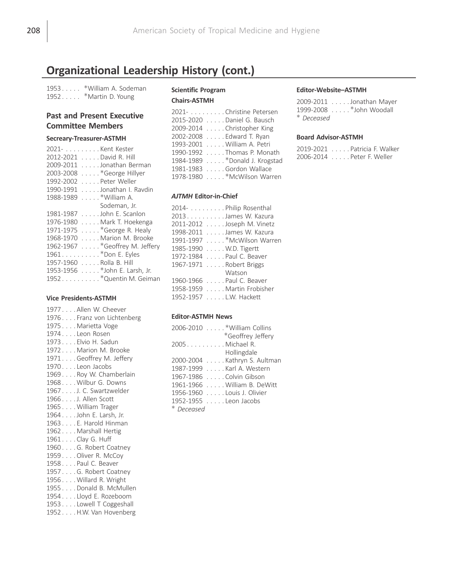# Organizational Leadership History (cont.)

1953 . . . . . \* William A. Sodeman 1952..... \*Martin D. Young

# Past and Present Executive Committee Members

#### Secreary-Treasurer-ASTMH

|           | 2021- Kent Kester              |  |
|-----------|--------------------------------|--|
| 2012-2021 | David R. Hill                  |  |
| 2009-2011 | Jonathan Berman                |  |
| 2003-2008 | *George Hillyer                |  |
| 1992-2002 | . Peter Weller                 |  |
| 1990-1991 | Jonathan I. Ravdin             |  |
| 1988-1989 | $\ldots$ *William A.           |  |
|           | Sodeman, Jr.                   |  |
| 1981-1987 | John E. Scanlon                |  |
| 1976-1980 | Mark T. Hoekenga               |  |
| 1971-1975 | *George R. Healy               |  |
| 1968-1970 | Marion M. Brooke               |  |
| 1962-1967 | *Geoffrey M. Jeffery           |  |
|           | 1961. * Don E. Eyles           |  |
| 1957-1960 | . Rolla B. Hill                |  |
|           | 1953-1956 * John E. Larsh, Jr. |  |
|           | 1952. * Quentin M. Geiman      |  |

#### Vice Presidents-ASTMH

1977 . . . . Allen W. Cheever 1976 . . . . Franz von Lichtenberg 1975 . . . . Marietta Voge 1974 . . . . Leon Rosen 1973 . . . . Elvio H. Sadun 1972 . . . . Marion M. Brooke 1971 . . . . Geoffrey M. Jeffery 1970...Leon Jacobs 1969 . . . . Roy W. Chamberlain 1968 . . . . Wilbur G. Downs 1967 . . . . J. C. Swartzwelder 1966 . . . . J. Allen Scott 1965 . . . . William Trager 1964 . . . . John E. Larsh, Jr. 1963 . . . . E. Harold Hinman 1962 . . . . Marshall Hertig 1961 . . . . Clay G. Huff 1960 . . . . G. Robert Coatney 1959 . . . . Oliver R. McCoy 1958 . . . . Paul C. Beaver 1957 . . . . G. Robert Coatney 1956 . . . . Willard R. Wright 1955 . . . . Donald B. McMullen 1954 . . . . Lloyd E. Rozeboom 1953 . . . . Lowell T Coggeshall 1952 . . . . H.W. Van Hovenberg

# Scientific Program

| 2021- Christine Petersen       |
|--------------------------------|
| 2015-2020 Daniel G. Bausch     |
| 2009-2014 Christopher King     |
| 2002-2008 Edward T. Ryan       |
| 1993-2001 William A. Petri     |
| 1990-1992 Thomas P. Monath     |
| 1984-1989 * Donald J. Krogstad |
| 1981-1983 Gordon Wallace       |
| 1978-1980 *McWilson Warren     |

#### AJTMH Editor-in-Chief

| 2014- Philip Rosenthal      |
|-----------------------------|
| 2013. James W. Kazura       |
| 2011-2012 Joseph M. Vinetz  |
| 1998-2011 James W. Kazura   |
| 1991-1997 * McWilson Warren |
| 1985-1990 W.D. Tigertt      |
| 1972-1984 Paul C. Beaver    |
| 1967-1971 Robert Briggs     |
| Watson                      |
| 1960-1966 Paul C. Beaver    |
| 1958-1959 Martin Frobisher  |
| 1952-1957 L.W. Hackett      |

#### Editor-ASTMH News

| 2006-2010 * William Collins  |
|------------------------------|
| *Geoffrey Jeffery            |
| 2005Michael R.               |
| Hollingdale                  |
| 2000-2004 Kathryn S. Aultman |
| 1987-1999 Karl A. Western    |
| 1967-1986 Colvin Gibson      |
| 1961-1966 William B. DeWitt  |
| 1956-1960 Louis J. Olivier   |
| 1952-1955 Leon Jacobs        |
| * Deceased                   |

#### Editor-Website–ASTMH

2009-2011 . . . . . Jonathan Mayer 1999-2008 . . . . . \* John Woodall Deceased

#### Board Advisor-ASTMH

2019-2021 . . . . . Patricia F. Walker 2006-2014 . . . . . Peter F. Weller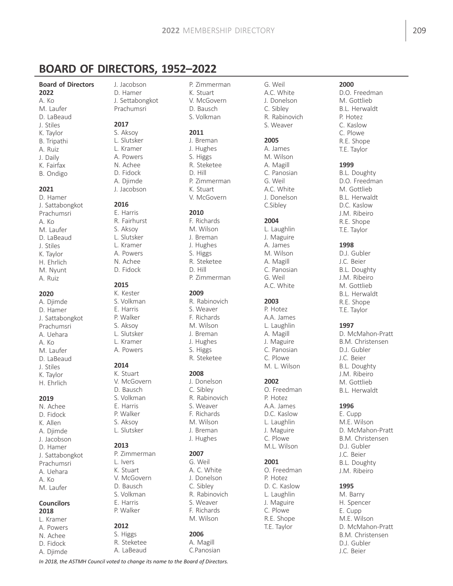# BOARD OF DIRECTORS, 1952–2022

# Board of Directors

- 2022 A. Ko M. Laufer D. LaBeaud J. Stiles K. Taylor B. Tripathi A. Ruiz J. Daily K. Fairfax B. Ondigo 2021
- D. Hamer J. Sattabongkot Prachumsri A. Ko M. Laufer D. LaBeaud J. Stiles K. Taylor H. Ehrlich M. Nyunt A. Ruiz

#### 2020

A. Djimde D. Hamer J. Sattabongkot Prachumsri A. Uehara A. Ko M. Laufer D. LaBeaud J. Stiles K. Taylor H. Ehrlich

### 2019

N. Achee D. Fidock K. Allen A. Djimde J. Jacobson D. Hamer J. Sattabongkot Prachumsri A. Uehara A. Ko M. Laufer

### Councilors 2018

- L. Kramer A. Powers N. Achee
- D. Fidock
- A. Djimde

J. Jacobson D. Hamer J. Settabongkot Prachumsri

# 2017

S. Aksoy L. Slutsker L. Kramer A. Powers N. Achee D. Fidock A. Djimde J. Jacobson

# 2016

E. Harris R. Fairhurst S. Aksoy L. Slutsker L. Kramer A. Powers N. Achee D. Fidock

# 2015

K. Kester S. Volkman E. Harris P. Walker S. Aksoy L. Slutsker L. Kramer A. Powers

### 2014

K. Stuart V. McGovern D. Bausch S. Volkman E. Harris P. Walker S. Aksoy L. Slutsker

### 2013

P. Zimmerman L. Ivers K. Stuart V. McGovern D. Bausch S. Volkman E. Harris P. Walker 2012

# S. Higgs

R. Steketee A. LaBeaud

- P. Zimmerman
- K. Stuart V. McGovern D. Bausch S. Volkman
- 2011

J. Breman J. Hughes S. Higgs R. Steketee D. Hill P. Zimmerman K. Stuart V. McGovern

#### 2010

F. Richards M. Wilson J. Breman J. Hughes S. Higgs R. Steketee D. Hill P. Zimmerman

## 2009

R. Rabinovich S. Weaver F. Richards M. Wilson J. Breman J. Hughes S. Higgs R. Steketee

### 2008

- J. Donelson C. Sibley R. Rabinovich S. Weaver F. Richards M. Wilson J. Breman
- J. Hughes

#### 2007

G. Weil A. C. White J. Donelson C. Sibley R. Rabinovich S. Weaver F. Richards M. Wilson

# 2006

A. Magill C.Panosian

G. Weil A.C. White J. Donelson C. Sibley R. Rabinovich S. Weaver

#### 2005

A. James M. Wilson A. Magill C. Panosian G. Weil A.C. White J. Donelson C.Sibley

#### 2004

L. Laughlin J. Maguire A. James M. Wilson A. Magill C. Panosian G. Weil A.C. White

### 2003

P. Hotez A.A. James L. Laughlin A. Magill J. Maguire C. Panosian C. Plowe M. L. Wilson

### 2002

O. Freedman P. Hotez A.A. James D.C. Kaslow L. Laughlin J. Maguire C. Plowe M.L. Wilson

# 2001

O. Freedman P. Hotez D. C. Kaslow L. Laughlin J. Maguire C. Plowe R.E. Shope T.E. Taylor

# 2000

D.O. Freedman M. Gottlieb B.L. Herwaldt P. Hotez C. Kaslow C. Plowe R.E. Shope T.E. Taylor

# 1999

B.L. Doughty D.O. Freedman M. Gottlieb B.L. Herwaldt D.C. Kaslow J.M. Ribeiro R.E. Shope T.E. Taylor

# 1998

D.J. Gubler J.C. Beier B.L. Doughty J.M. Ribeiro M. Gottlieb B.L. Herwaldt R.E. Shope T.E. Taylor

### 1997

D. McMahon-Pratt B.M. Christensen D.J. Gubler J.C. Beier B.L. Doughty J.M. Ribeiro M. Gottlieb B.L. Herwaldt

### 1996

E. Cupp M.E. Wilson D. McMahon-Pratt B.M. Christensen D.J. Gubler J.C. Beier B.L. Doughty J.M. Ribeiro

### 1995

M. Barry H. Spencer E. Cupp M.E. Wilson D. McMahon-Pratt B.M. Christensen D.J. Gubler J.C. Beier

In 2018, the ASTMH Council voted to change its name to the Board of Directors.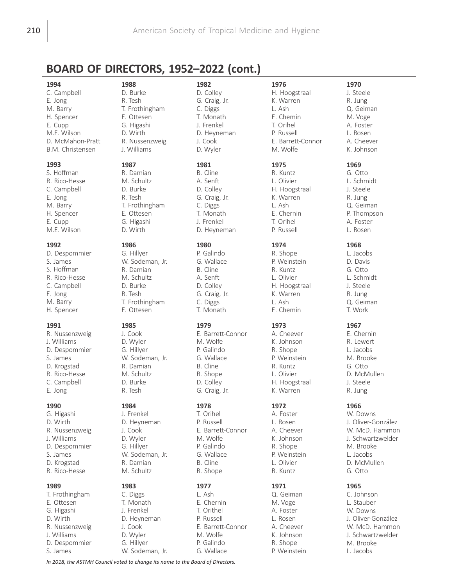# BOARD OF DIRECTORS, 1952–2022 (cont.)

#### 1994

C. Campbell E. Jong M. Barry H. Spencer E. Cupp M.E. Wilson D. McMahon-Pratt B.M. Christensen

#### 1993

S. Hoffman R. Rico-Hesse C. Campbell E. Jong M. Barry H. Spencer E. Cupp M.E. Wilson

#### 1992

D. Despommier S. James S. Hoffman R. Rico-Hesse C. Campbell E. Jong M. Barry H. Spencer

#### 1991

R. Nussenzweig J. Williams D. Despommier S. James D. Krogstad R. Rico-Hesse C. Campbell E. Jong

#### 1990

G. Higashi D. Wirth R. Nussenzweig J. Williams D. Despommier S. James D. Krogstad R. Rico-Hesse

#### 1989

T. Frothingham E. Ottesen G. Higashi D. Wirth R. Nussenzweig J. Williams D. Despommier S. James

T. Frothingham E. Ottesen G. Higashi D. Wirth R. Nussenzweig J. Williams

# 1987

1988 D. Burke R. Tesh

R. Damian M. Schultz D. Burke R. Tesh T. Frothingham E. Ottesen G. Higashi D. Wirth

#### 1986

1985

G. Hillyer W. Sodeman, Jr. R. Damian M. Schultz D. Burke R. Tesh T. Frothingham E. Ottesen

J. Cook D. Wyler G. Hillyer W. Sodeman, Jr. R. Damian M. Schultz D. Burke R. Tesh

#### 1984

J. Frenkel D. Heyneman J. Cook D. Wyler G. Hillyer W. Sodeman, Jr. R. Damian M. Schultz

#### 1983 C. Diggs

T. Monath J. Frenkel D. Heyneman J. Cook D. Wyler G. Hillyer W. Sodeman, Jr. 1982 D. Colley G. Craig, Jr. C. Diggs T. Monath

J. Frenkel D. Heyneman J. Cook D. Wyler

#### 1981

B. Cline A. Senft D. Colley G. Craig, Jr. C. Diggs T. Monath J. Frenkel D. Heyneman

#### 1980

P. Galindo G. Wallace B. Cline A. Senft D. Colley G. Craig, Jr. C. Diggs T. Monath

### 1979

E. Barrett-Connor M. Wolfe P. Galindo G. Wallace B. Cline R. Shope D. Colley G. Craig, Jr.

#### 1978

T. Orihel P. Russell E. Barrett-Connor M. Wolfe P. Galindo G. Wallace B. Cline R. Shope

# 1977

L. Ash E. Chernin T. Orithel P. Russell E. Barrett-Connor M. Wolfe P. Galindo G. Wallace

# 1976

H. Hoogstraal K. Warren L. Ash E. Chemin T. Orihel P. Russell E. Barrett-Connor M. Wolfe

#### 1975

R. Kuntz L. Olivier H. Hoogstraal K. Warren L. Ash E. Chernin T. Orihel P. Russell

# 1974

R. Shope P. Weinstein R. Kuntz L. Olivier H. Hoogstraal K. Warren L. Ash E. Chemin

### 1973

A. Cheever K. Johnson R. Shope P. Weinstein R. Kuntz L. Olivier H. Hoogstraal K. Warren

#### 1972

A. Foster L. Rosen A. Cheever K. Johnson R. Shope P. Weinstein L. Olivier R. Kuntz

### 1971

Q. Geiman M. Voge A. Foster L. Rosen A. Cheever K. Johnson R. Shope P. Weinstein

1970 J. Steele R. Jung Q. Geiman M. Voge A. Foster L. Rosen A. Cheever K. Johnson

#### 1969

G. Otto L. Schmidt J. Steele R. Jung Q. Geiman P. Thompson A. Foster L. Rosen

# 1968

L. Jacobs D. Davis G. Otto L. Schmidt J. Steele R. Jung Q. Geiman T. Work

### 1967

E. Chernin R. Lewert L. Jacobs M. Brooke G. Otto D. McMullen J. Steele R. Jung

### 1966

W. Downs J. Oliver-González W. McD. Hammon J. Schwartzwelder M. Brooke L. Jacobs D. McMullen G. Otto

### 1965

C. Johnson L. Stauber W. Downs J. Oliver-Gonzalez W. McD. Hammon J. Schwartzwelder M. Brooke L. Jacobs

In 2018, the ASTMH Council voted to change its name to the Board of Directors.